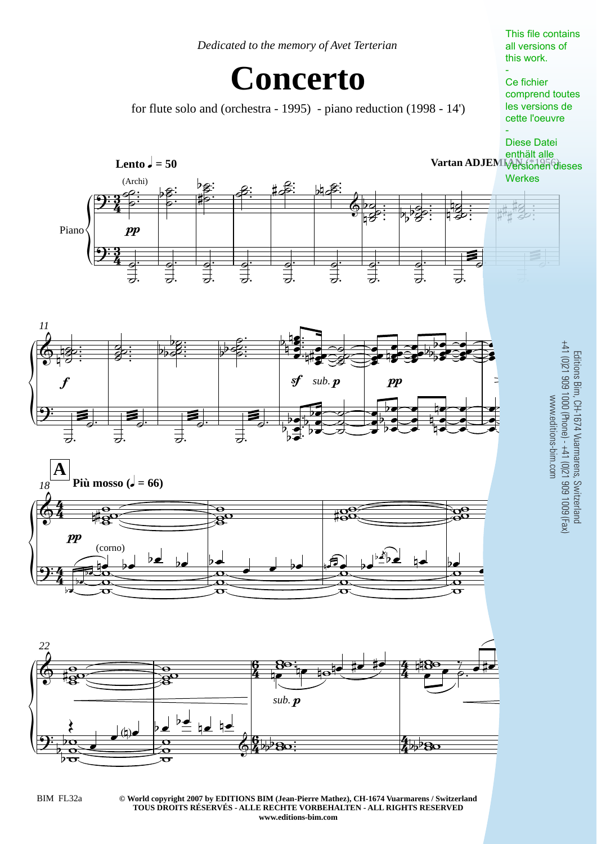*Dedicated to the memory of Avet Terterian*

## **Concerto**

This file contains all versions of this work.

-

-

## Ce fichier comprend toutes les versions de cette l'oeuvre

Diese Datei

**Lento**  $\sqrt{ } = 50$ enthält alle<br>**Vartan ADJEMIAN** (مَاطِعِیْل Piano <u>3</u>  $\frac{3}{4}$ <u>3</u>  $\frac{3}{4}$   $\overline{\mathcal{P}}$ : pp  $\spadesuit$ <u>g:</u>  $\frac{\partial}{\partial \dot{z}}$  $\frac{1}{2}$   $\frac{1}{\sigma}$  $rac{b}{\phi}$  $\overline{\phantom{a}}$  $\frac{b}{\sqrt{2}}$  $\frac{1}{12}$ b<br>梦<br>故  $\ddot{\phantom{0}}$  $\ddot{\mathscr{E}}$ <u> Li</u>  $\vdots$  $\frac{1}{2}$  $\vdots$   $\ddot{\cdot}$  $\ddot{\phantom{0}}$  $\boldsymbol{\beta}$ d<br>P  $\overline{bc}$  $\overline{48}$  $\vdots$  $\overline{\phantom{a}}$  $\frac{1}{2}$   $\frac{1}{2}$  $\frac{1}{2}$  $\frac{1}{2}$  $\vdots$  $\overline{\phantom{a}}$  $\frac{1}{18}$  $\overline{\mathbf{z}}$  $\frac{1}{4}$  $\vdots$  $\overline{\phantom{a}}$  $\frac{1}{4}$  $\frac{1}{48}$  $\frac{1}{4}$  $\frac{1}{4}$  $\begin{array}{c|c|c|c} \hline \circ & \circ & \circ \end{array}$  $\circ$   $\circ$   $\circ$  $\circ$ ₹  $\frac{1}{2}$  $\ddot{\phantom{0}}$  $\frac{1}{2}$  $\overline{\partial}$  $\overline{\phantom{0}}$  $\ddot{\phantom{0}}$  $\frac{1}{2}$  $\overline{\partial}$  $\overline{\phantom{0}}$  $\ddot{\phantom{0}}$  $\frac{1}{2}$  $\overline{\partial}$  $\overline{\phantom{0}}$  $\ddot{\phantom{0}}$  $\frac{1}{2}$  $\exists$  $\overline{\bullet}$  $\ddot{\phantom{0}}$  $\frac{1}{2}$  $\exists$  $\frac{1}{2}$  $\ddot{\phantom{0}}$  $\frac{1}{2}$  $\exists$  $\overline{\bullet}$  $\ddot{\phantom{0}}$  $\frac{1}{2}$  $\overline{\partial}$  $\overline{\bullet}$ .  $\frac{1}{2}$  $\exists$ . Versionen dieses **Werkes** 







**<sup>©</sup> World copyright 2007 by EDITIONS BIM (Jean-Pierre Mathez), CH-1674 Vuarmarens / Switzerland** BIM FL32a 3 **TOUS DROITS RÉSERVÉS - ALLE RECHTE VORBEHALTEN - ALL RIGHTS RESERVED www.editions-bim.com**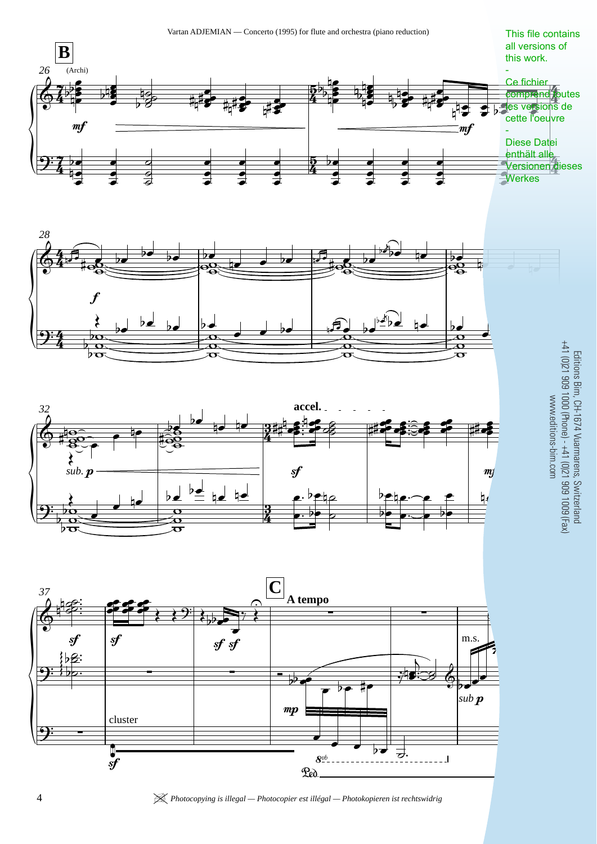Vartan ADJEMIAN — Concerto (1995) for flute and orchestra (piano reduction)









Editions Bim, CH-1674 Vuarmarens, Switzerland<br>+41 (0)21 909 1000 (Phone) - +41 (0)21 909 1009 (Fax) +41 (0)21 909 1000 (Phone) - +41 (0)21 909 1009 (Fax) Editions Bim, CH-1674 Vuarmarens, Switzerland www.editions-bim.com www.editions-bim.com

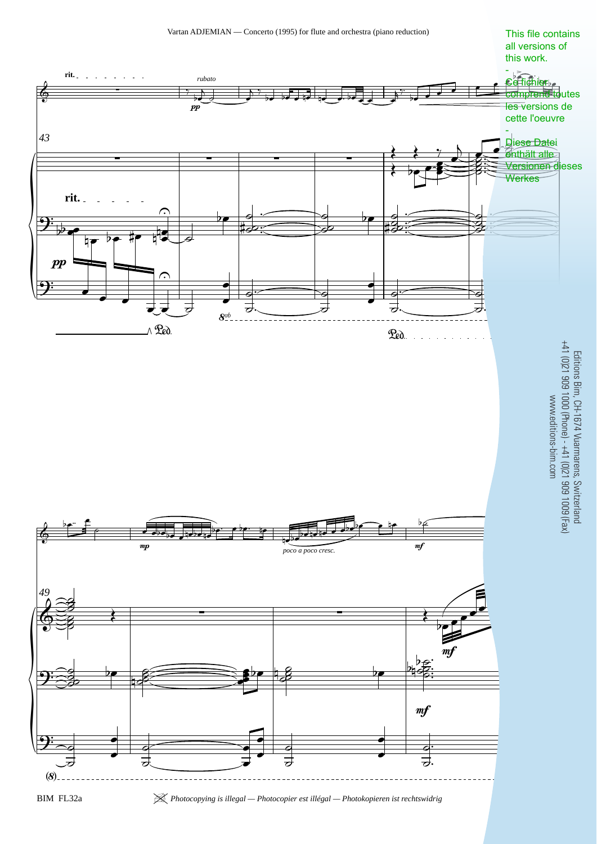

BIM FL32a | *Photocopying is illegal — Photocopier est illégal — Photokopieren ist rechtswidrig*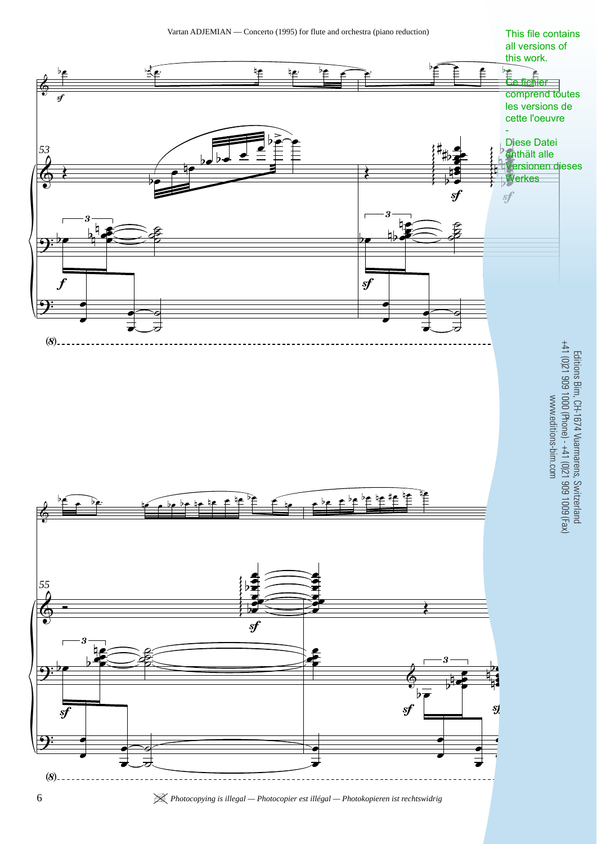

| *Photocopying is illegal — Photocopier est illégal — Photokopieren ist rechtswidrig* BIM FL32a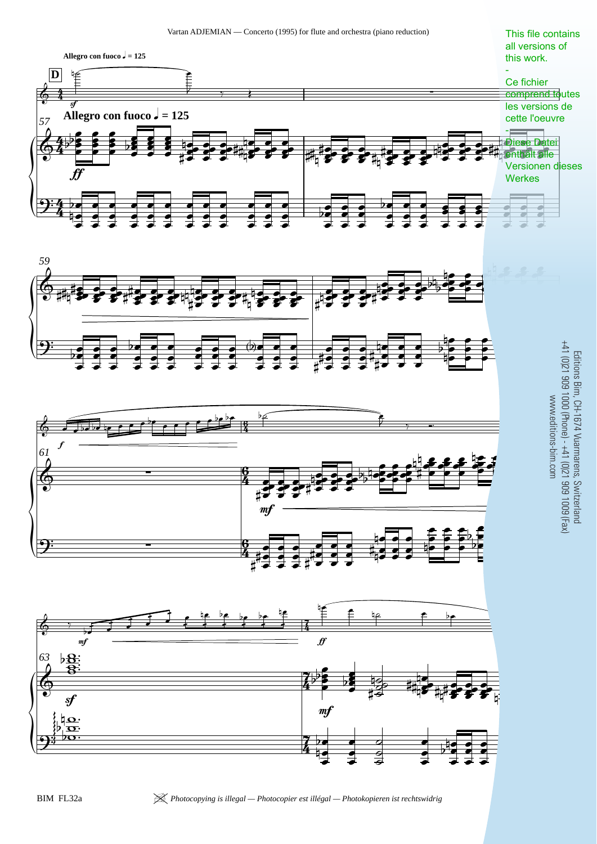







Editions Bim, CH-1674 Vuarmarens, Switzerland<br>+41 (0)21 909 1000 (Phone) - +41 (0)21 909 1009 (Fax) +41 (0)21 909 1000 (Phone) - +41 (0)21 909 1009 (Fax) Editions Bim, CH-1674 Vuarmarens, Switzerland www.editions-bim.com ם היוונות מ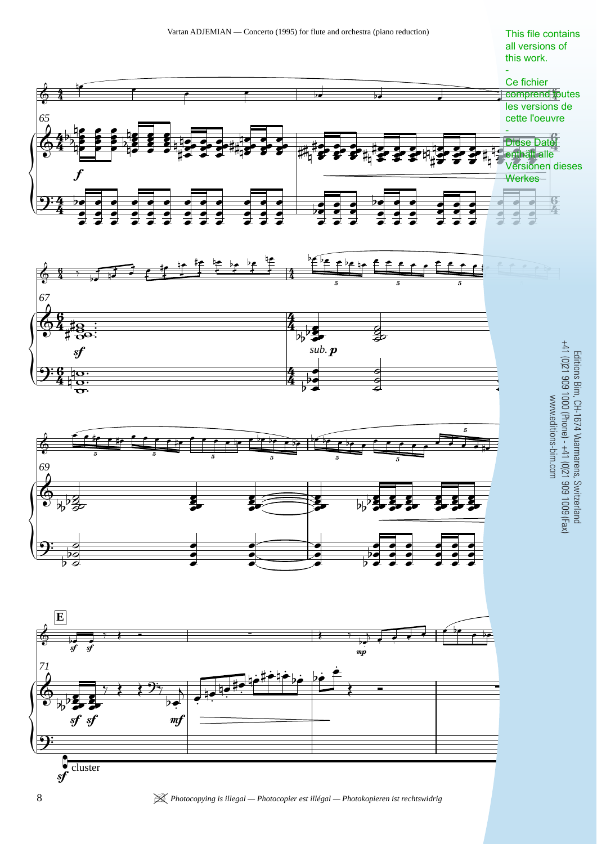

| *Photocopying is illegal — Photocopier est illégal — Photokopieren ist rechtswidrig* BIM FL32a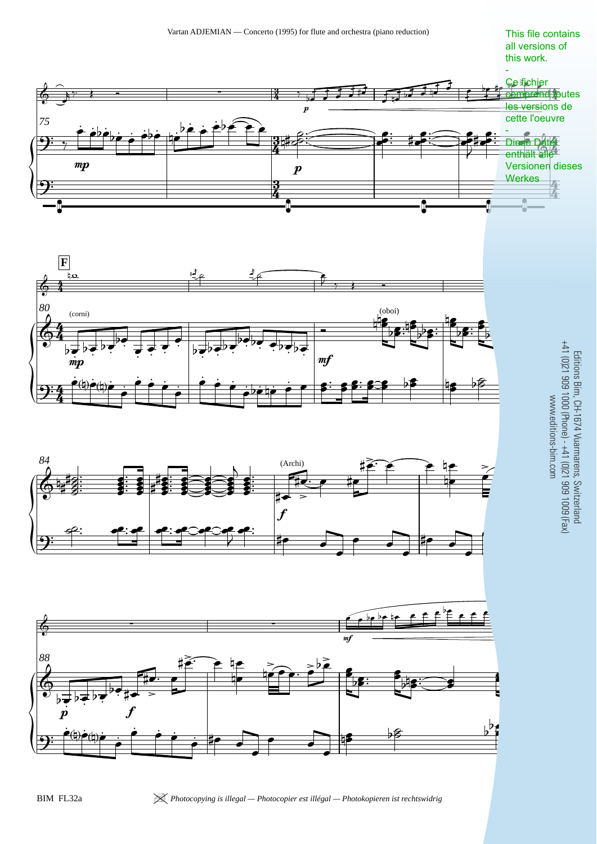

BIM FL32a | *Photocopying is illegal — Photocopier est illégal — Photokopieren ist rechtswidrig*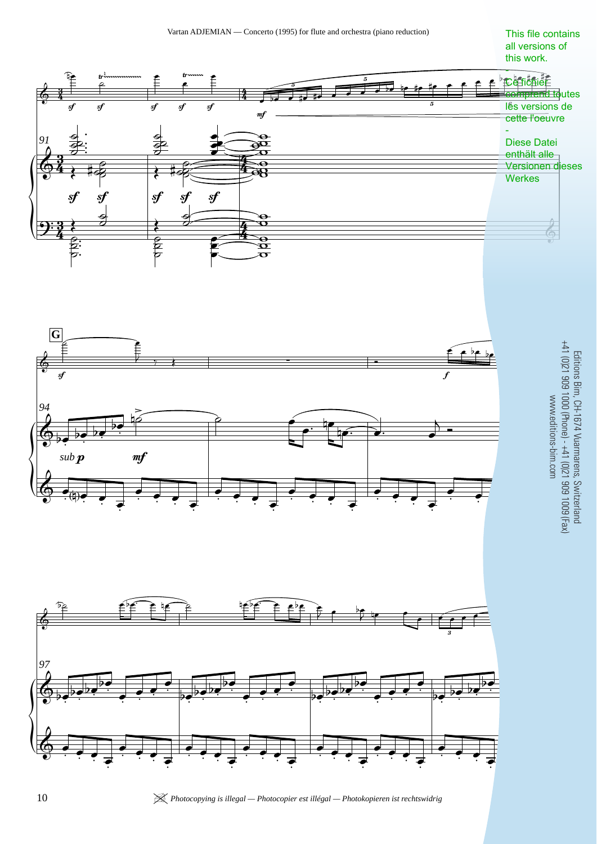This file contains all versions of this work.







Editions Bim, CH-1674 Vuarmarens, Switzerland<br>+41 (0)21 909 1000 (Phone) - +41 (0)21 909 1009 (Fax) +41 (0)21 909 1000 (Phone) - +41 (0)21 909 1009 (Fax) Editions Bim, CH-1674 Vuarmarens, Switzerland www.editions-bim.com www.editions-bim.com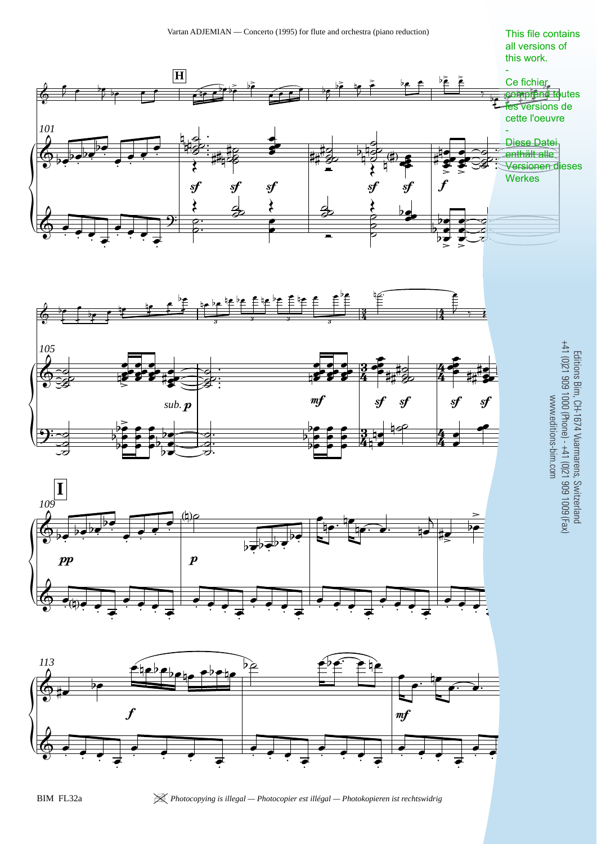







Editions Bim, CH-1674 Vuarmarens, Switzerland +41 (0)21 909 1000 (Phone) - +41 (0)21 909 1009 (Fax) www.editions-bim.com

BIM FL32a | *Photocopying is illegal — Photocopier est illégal — Photokopieren ist rechtswidrig*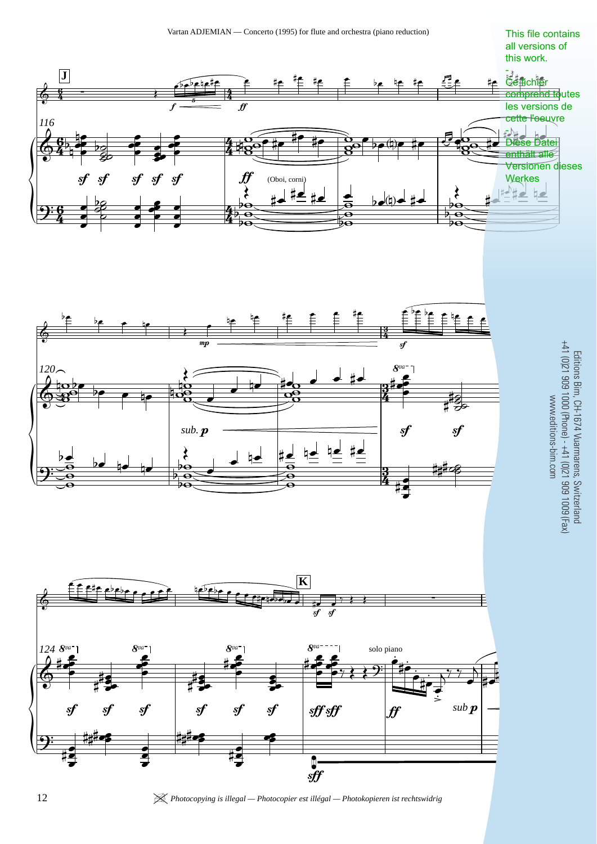## This file contains all versions of this work.







<sup>|</sup> *Photocopying is illegal — Photocopier est illégal — Photokopieren ist rechtswidrig* BIM FL32a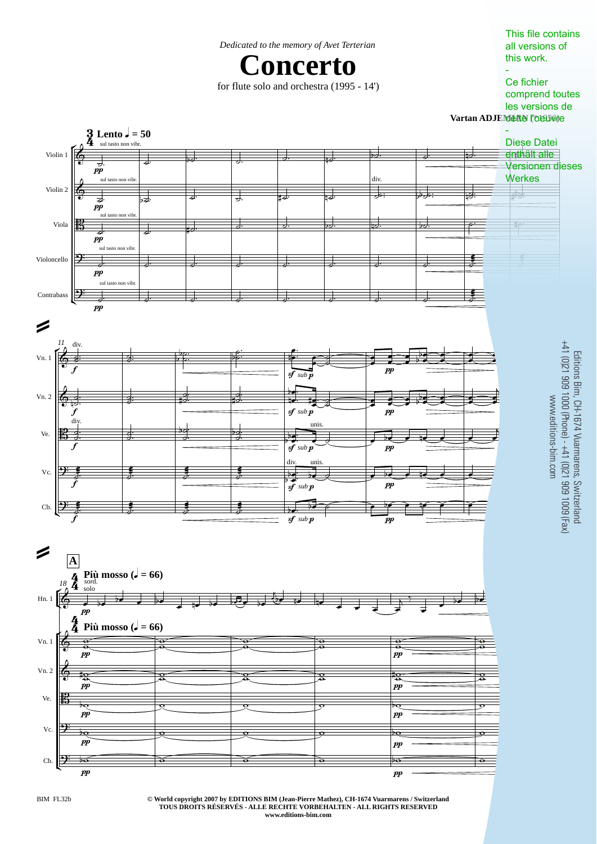

for flute solo and orchestra (1995 - 14')

This file contains all versions of this work.



-



**EXECUTE:** © World copyright 2007 by EDITIONS BIM (Jean-Pierre Mathez), CH-1674 Vuarmarens / Switzerland **TOUS DROITS RÉSERVÉS - ALLE RECHTE VORBEHALTEN - ALL RIGHTS RESERVED www.editions-bim.com**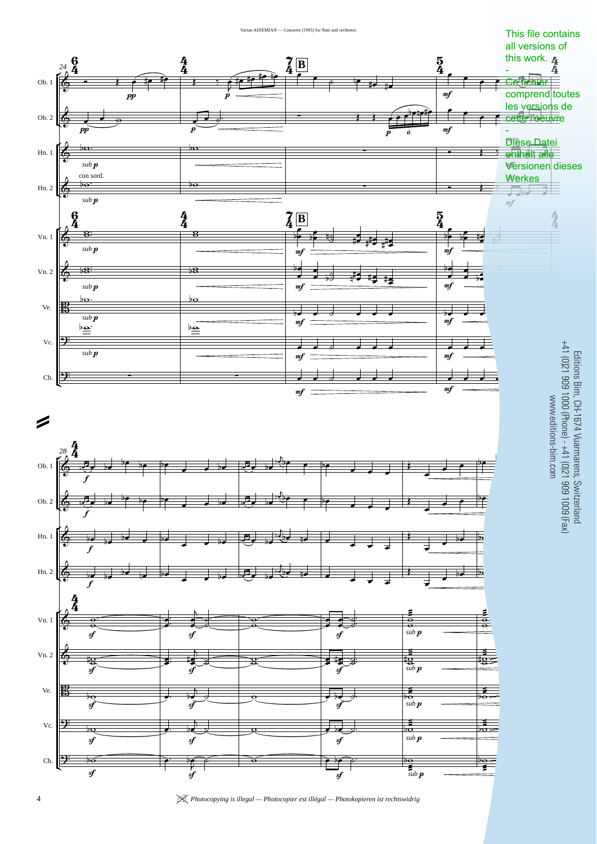

| *Photocopying is illegal — Photocopier est illégal — Photokopieren ist rechtswidrig* BIM FL32b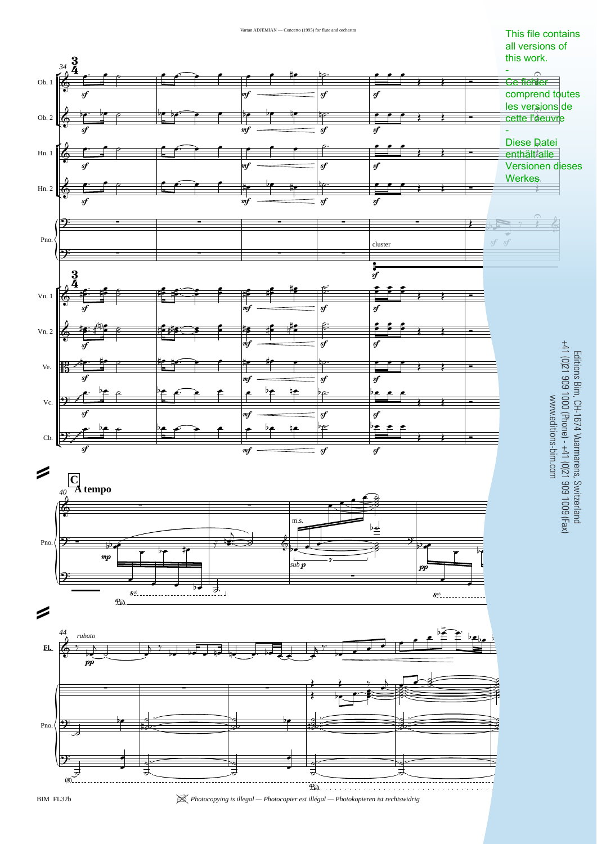

BIM FL32b | *Photocopying is illegal — Photocopier est illégal — Photokopieren ist rechtswidrig*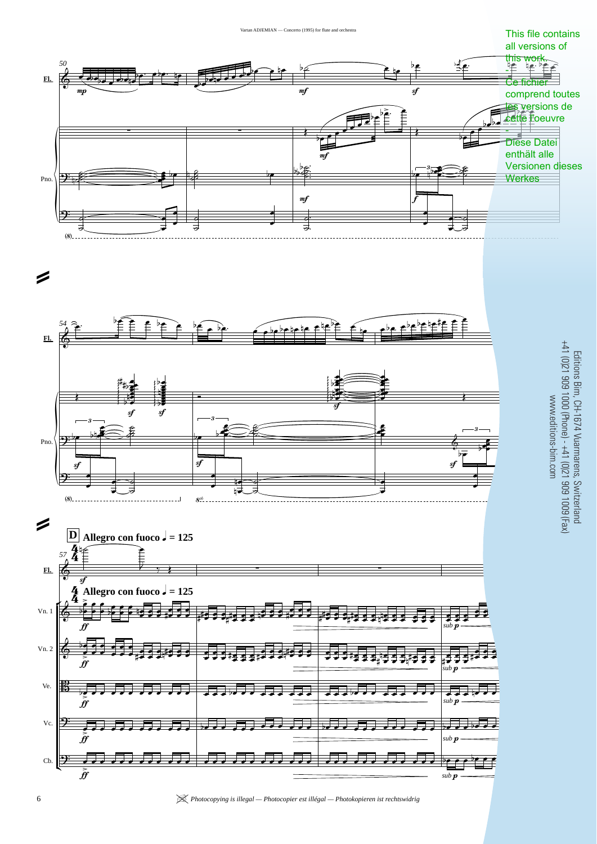

| *Photocopying is illegal — Photocopier est illégal — Photokopieren ist rechtswidrig* BIM FL32b

6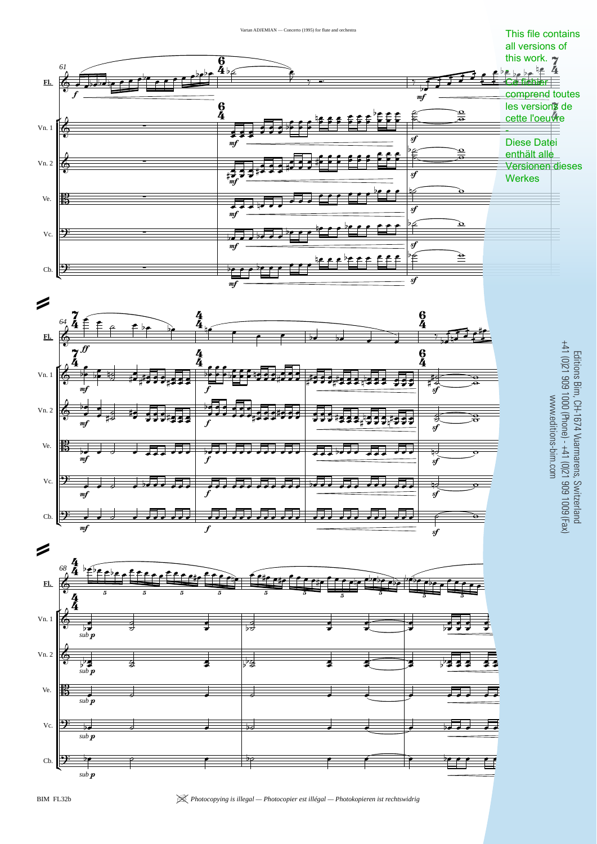





+41 (0)21 909 1000 (Phone) - +41 (0)21 909 1009 (Fax) Editions Bim, CH-1674 Vuarmarens, Switzerland www.editions-bim.com www.editions-bim.com

BIM FL32b | *Photocopying is illegal — Photocopier est illégal — Photokopieren ist rechtswidrig*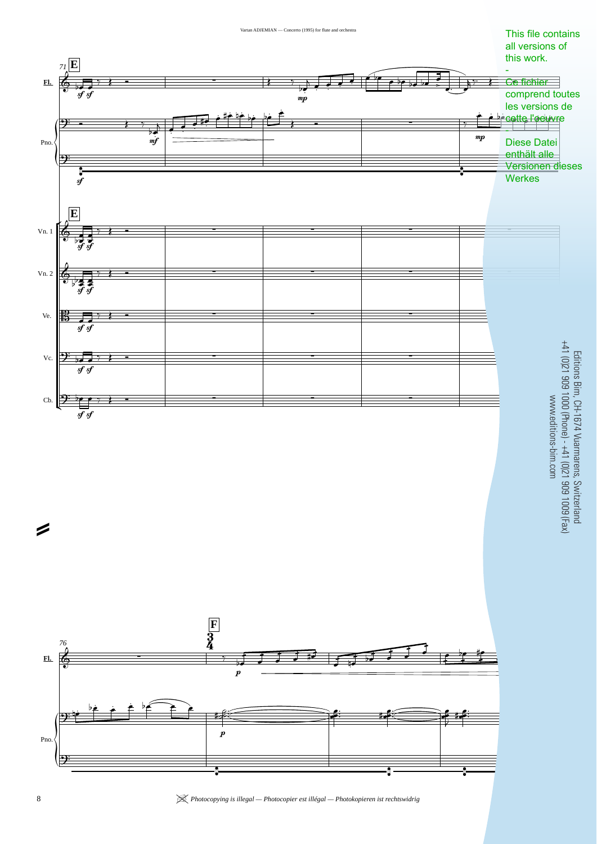

| *Photocopying is illegal — Photocopier est illégal — Photokopieren ist rechtswidrig* BIM FL32b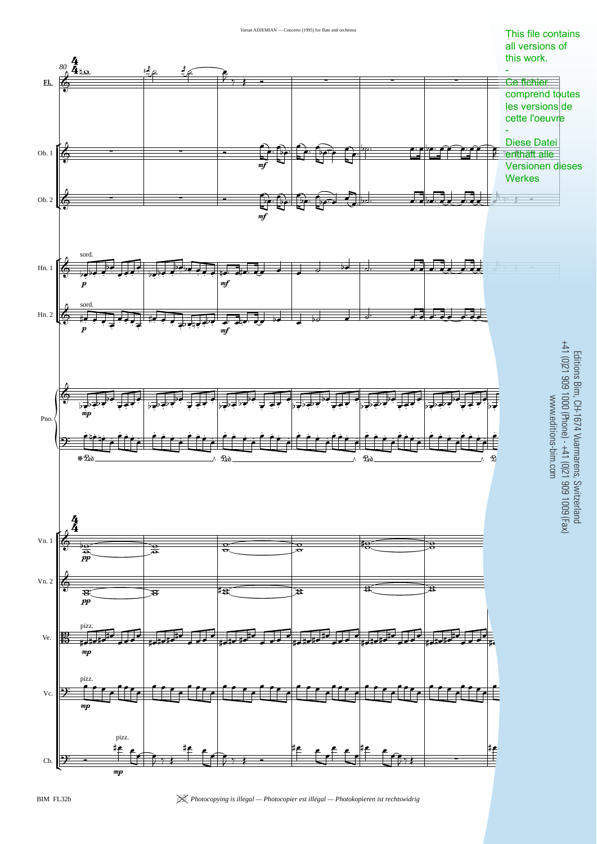

Cb.

ľ

9

 $\, \mathsf{r} \,$ 

Ob. 1

Ob. 2

Hn. 1

Hn. 2

**Fl.** 

*80*

-

6

sord.

sord.

6

<u>ระ</u>

mp

ė

Pno.

 $\, \dagger \,$ 

6

₿

<u>ระ</u>

4  $rac{4}{4}$ 

r<del>o</del><br>pp

pizz.

mp

pizz.

 $m$ r

 $\overline{ }$ 

mp

 $7$   $\rightarrow$   $\rightarrow$ 

 $\beta$  ,  $\lambda$  -

 $sharp$ 

Vn. 1

Vn. 2

Ve.

Vc.

BIM FL32b | *Photocopying is illegal — Photocopier est illégal — Photokopieren ist rechtswidrig*

 $rac{e}{\sqrt{1-e^{2}}}$ 

 $\tilde{V}$  ,  $\tilde{t}$ 

:

 $\frac{1}{2}$